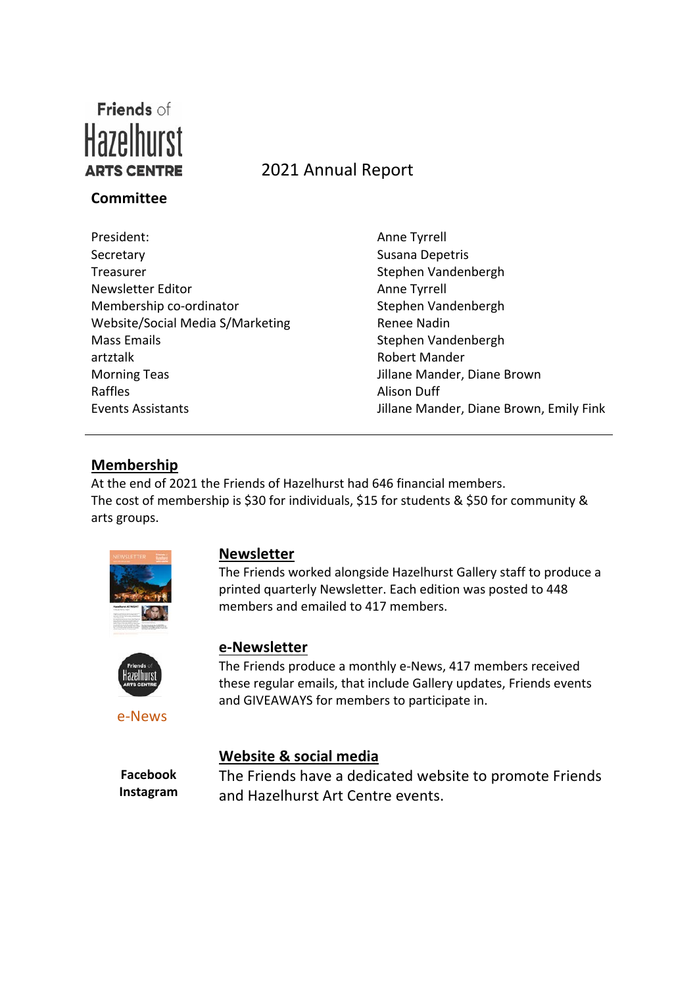

# **Committee**

# ARTS CENTRE 2021 Annual Report

President: Anne Tyrrell Secretary Susana Depetris Treasurer Stephen Vandenbergh Newsletter Editor **Anne Tyrrell** Membership co-ordinator Stephen Vandenbergh Website/Social Media S/Marketing Renee Nadin Mass Emails **Mass Emails** Stephen Vandenbergh artztalk Robert Mander Morning Teas Jillane Mander, Diane Brown Raffles **Alison Duff** 

Events Assistants **Exents Assistants Jillane Mander, Diane Brown, Emily Fink** 

## **Membership**

At the end of 2021 the Friends of Hazelhurst had 646 financial members. The cost of membership is \$30 for individuals, \$15 for students & \$50 for community & arts groups.



#### **Newsletter**

The Friends worked alongside Hazelhurst Gallery staff to produce a printed quarterly Newsletter. Each edition was posted to 448 members and emailed to 417 members.



e-News

# **e-Newsletter**

The Friends produce a monthly e-News, 417 members received these regular emails, that include Gallery updates, Friends events and GIVEAWAYS for members to participate in.

#### **Website & social media**

**Facebook Instagram** The Friends have a dedicated website to promote Friends and Hazelhurst Art Centre events.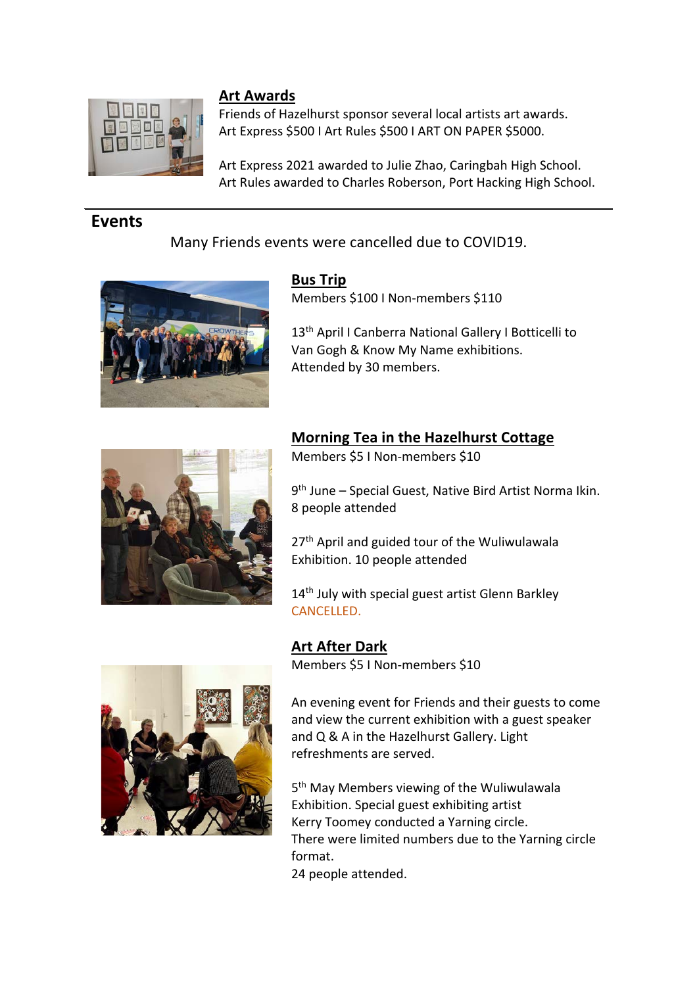

### **Art Awards**

Friends of Hazelhurst sponsor several local artists art awards. Art Express \$500 I Art Rules \$500 I ART ON PAPER \$5000.

Art Express 2021 awarded to Julie Zhao, Caringbah High School. Art Rules awarded to Charles Roberson, Port Hacking High School.

# **Events**

Many Friends events were cancelled due to COVID19.



**Bus Trip** Members \$100 I Non-members \$110

13<sup>th</sup> April I Canberra National Gallery I Botticelli to Van Gogh & Know My Name exhibitions. Attended by 30 members.



## **Morning Tea in the Hazelhurst Cottage**

Members \$5 I Non-members \$10

9th June – Special Guest, Native Bird Artist Norma Ikin. 8 people attended

27<sup>th</sup> April and guided tour of the Wuliwulawala Exhibition. 10 people attended

14<sup>th</sup> July with special guest artist Glenn Barkley CANCELLED.



**Art After Dark**

Members \$5 I Non-members \$10

An evening event for Friends and their guests to come and view the current exhibition with a guest speaker and Q & A in the Hazelhurst Gallery. Light refreshments are served.

5<sup>th</sup> May Members viewing of the Wuliwulawala Exhibition. Special guest exhibiting artist Kerry Toomey conducted a Yarning circle. There were limited numbers due to the Yarning circle format. 24 people attended.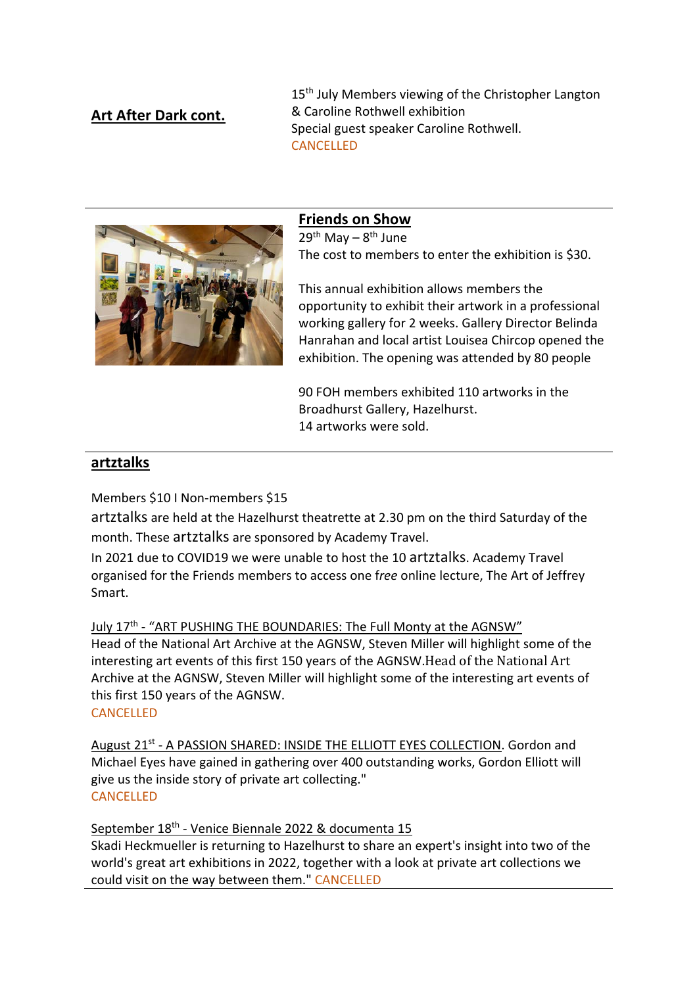# **Art After Dark cont.**

15<sup>th</sup> July Members viewing of the Christopher Langton & Caroline Rothwell exhibition Special guest speaker Caroline Rothwell. CANCELLED



### **Friends on Show**

 $29<sup>th</sup>$  May –  $8<sup>th</sup>$  June The cost to members to enter the exhibition is \$30.

This annual exhibition allows members the opportunity to exhibit their artwork in a professional working gallery for 2 weeks. Gallery Director Belinda Hanrahan and local artist Louisea Chircop opened the exhibition. The opening was attended by 80 people

90 FOH members exhibited 110 artworks in the Broadhurst Gallery, Hazelhurst. 14 artworks were sold.

#### **artztalks**

Members \$10 I Non-members \$15

artztalks are held at the Hazelhurst theatrette at 2.30 pm on the third Saturday of the month. These artztalks are sponsored by Academy Travel.

In 2021 due to COVID19 we were unable to host the 10 artztalks. Academy Travel organised for the Friends members to access one f*ree* online lecture, The Art of Jeffrey Smart.

July 17<sup>th</sup> - "ART PUSHING THE BOUNDARIES: The Full Monty at the AGNSW"

Head of the National Art Archive at the AGNSW, Steven Miller will highlight some of the interesting art events of this first 150 years of the AGNSW.Head of the National Art Archive at the AGNSW, Steven Miller will highlight some of the interesting art events of this first 150 years of the AGNSW.

**CANCELLED** 

August 21<sup>st</sup> - A PASSION SHARED: INSIDE THE ELLIOTT EYES COLLECTION. Gordon and Michael Eyes have gained in gathering over 400 outstanding works, Gordon Elliott will give us the inside story of private art collecting." CANCELLED

September 18th - Venice Biennale 2022 & documenta 15 Skadi Heckmueller is returning to Hazelhurst to share an expert's insight into two of the world's great art exhibitions in 2022, together with a look at private art collections we could visit on the way between them." CANCELLED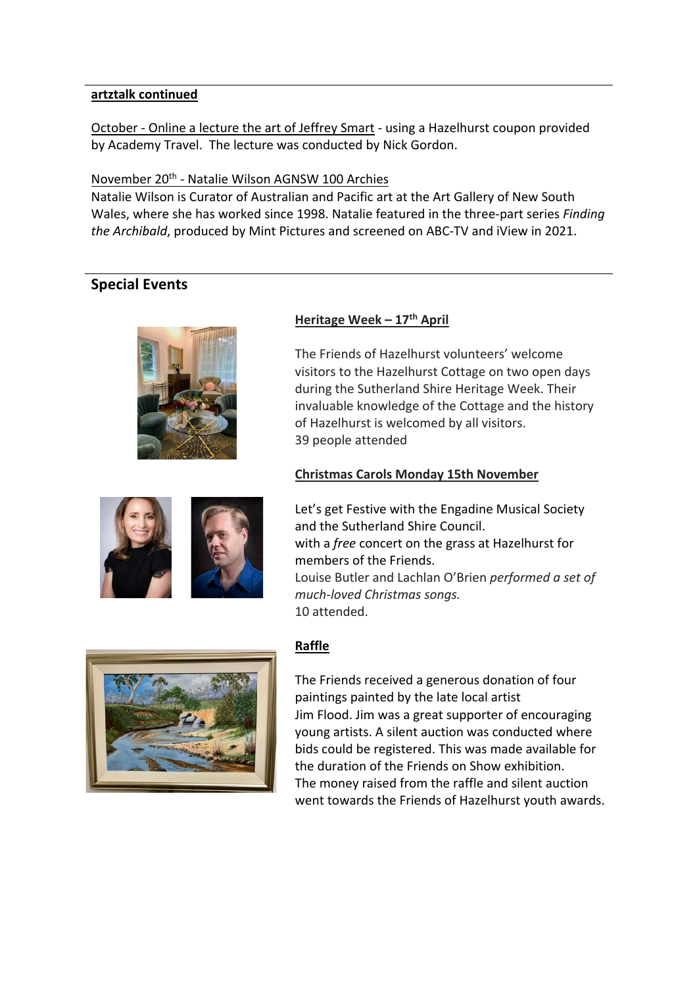#### **artztalk continued**

October - Online a lecture the art of Jeffrey Smart - using a Hazelhurst coupon provided by Academy Travel. The lecture was conducted by Nick Gordon.

#### November 20th - Natalie Wilson AGNSW 100 Archies

Natalie Wilson is Curator of Australian and Pacific art at the Art Gallery of New South Wales, where she has worked since 1998. Natalie featured in the three-part series *Finding the Archibald*, produced by Mint Pictures and screened on ABC-TV and iView in 2021.

## **Special Events**



#### **Heritage Week – 17th April**

The Friends of Hazelhurst volunteers' welcome visitors to the Hazelhurst Cottage on two open days during the Sutherland Shire Heritage Week. Their invaluable knowledge of the Cottage and the history of Hazelhurst is welcomed by all visitors. 39 people attended

#### **Christmas Carols Monday 15th November**



Let's get Festive with the Engadine Musical Society and the Sutherland Shire Council. with a *free* concert on the grass at Hazelhurst for members of the Friends. Louise Butler and Lachlan O'Brien *performed a set of much-loved Christmas songs.* 10 attended.



#### **Raffle**

The Friends received a generous donation of four paintings painted by the late local artist Jim Flood. Jim was a great supporter of encouraging young artists. A silent auction was conducted where bids could be registered. This was made available for the duration of the Friends on Show exhibition. The money raised from the raffle and silent auction went towards the Friends of Hazelhurst youth awards.